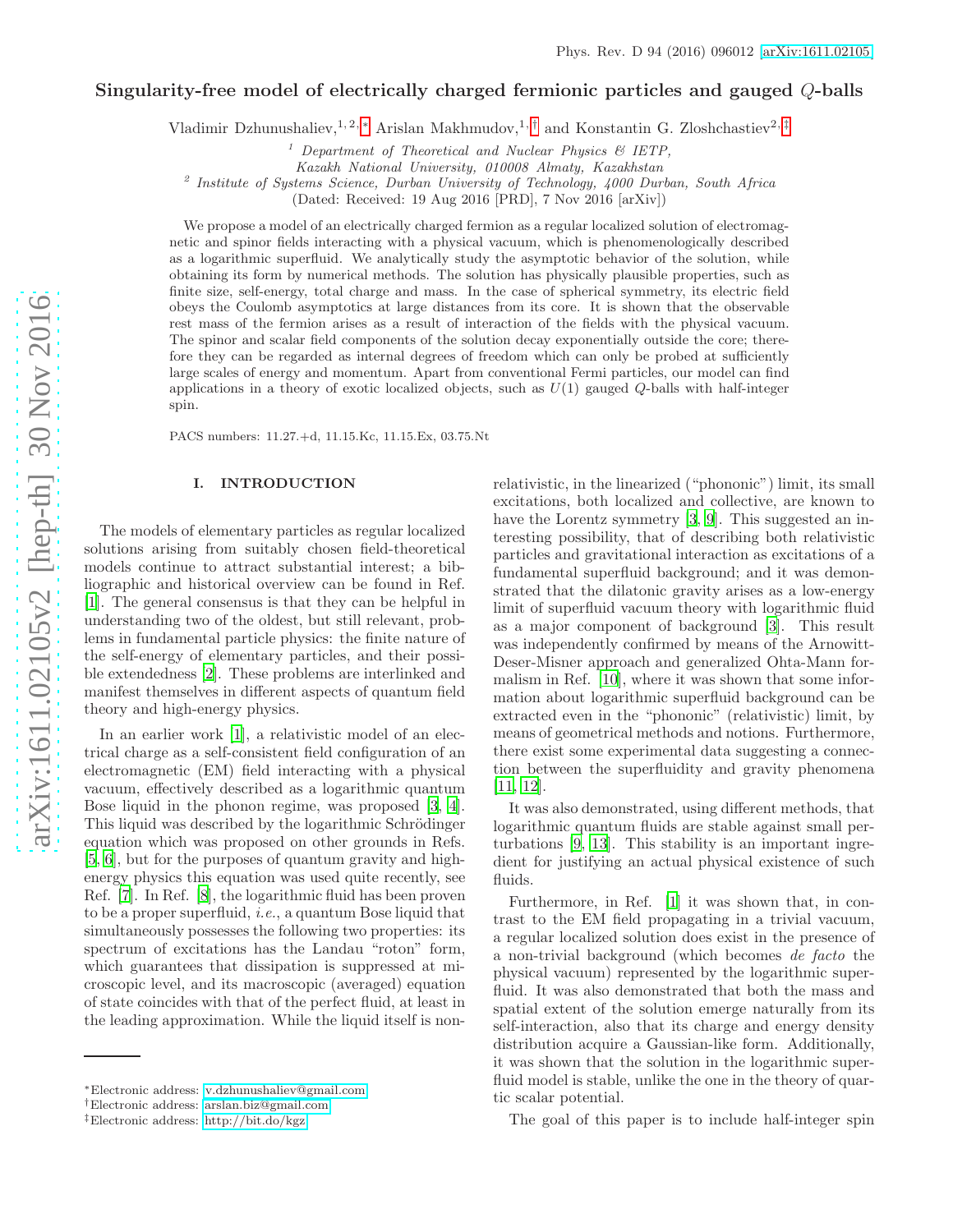# Singularity-free model of electrically charged fermionic particles and gauged Q-balls

Vladimir Dzhunushaliev,<sup>1, 2, \*</sup> Arislan Makhmudov,<sup>1, [†](#page-0-1)</sup> and Konstantin G. Zloshchastiev<sup>2, [‡](#page-0-2)</sup>

<sup>1</sup> Department of Theoretical and Nuclear Physics  $\mathcal{B}$  IETP,

Kazakh National University, 010008 Almaty, Kazakhstan

<sup>2</sup> Institute of Systems Science, Durban University of Technology, 4000 Durban, South Africa

(Dated: Received: 19 Aug 2016 [PRD], 7 Nov 2016 [arXiv])

We propose a model of an electrically charged fermion as a regular localized solution of electromagnetic and spinor fields interacting with a physical vacuum, which is phenomenologically described as a logarithmic superfluid. We analytically study the asymptotic behavior of the solution, while obtaining its form by numerical methods. The solution has physically plausible properties, such as finite size, self-energy, total charge and mass. In the case of spherical symmetry, its electric field obeys the Coulomb asymptotics at large distances from its core. It is shown that the observable rest mass of the fermion arises as a result of interaction of the fields with the physical vacuum. The spinor and scalar field components of the solution decay exponentially outside the core; therefore they can be regarded as internal degrees of freedom which can only be probed at sufficiently large scales of energy and momentum. Apart from conventional Fermi particles, our model can find applications in a theory of exotic localized objects, such as  $U(1)$  gauged Q-balls with half-integer spin.

PACS numbers: 11.27.+d, 11.15.Kc, 11.15.Ex, 03.75.Nt

#### I. INTRODUCTION

The models of elementary particles as regular localized solutions arising from suitably chosen field-theoretical models continue to attract substantial interest; a bibliographic and historical overview can be found in Ref. [\[1\]](#page-8-0). The general consensus is that they can be helpful in understanding two of the oldest, but still relevant, problems in fundamental particle physics: the finite nature of the self-energy of elementary particles, and their possible extendedness [\[2](#page-8-1)]. These problems are interlinked and manifest themselves in different aspects of quantum field theory and high-energy physics.

In an earlier work [\[1](#page-8-0)], a relativistic model of an electrical charge as a self-consistent field configuration of an electromagnetic (EM) field interacting with a physical vacuum, effectively described as a logarithmic quantum Bose liquid in the phonon regime, was proposed [\[3,](#page-8-2) [4\]](#page-8-3). This liquid was described by the logarithmic Schrödinger equation which was proposed on other grounds in Refs. [\[5,](#page-8-4) [6](#page-8-5)], but for the purposes of quantum gravity and highenergy physics this equation was used quite recently, see Ref. [\[7](#page-8-6)]. In Ref. [\[8\]](#page-8-7), the logarithmic fluid has been proven to be a proper superfluid, i.e., a quantum Bose liquid that simultaneously possesses the following two properties: its spectrum of excitations has the Landau "roton" form, which guarantees that dissipation is suppressed at microscopic level, and its macroscopic (averaged) equation of state coincides with that of the perfect fluid, at least in the leading approximation. While the liquid itself is nonrelativistic, in the linearized ("phononic") limit, its small excitations, both localized and collective, are known to have the Lorentz symmetry [\[3,](#page-8-2) [9](#page-8-8)]. This suggested an interesting possibility, that of describing both relativistic particles and gravitational interaction as excitations of a fundamental superfluid background; and it was demonstrated that the dilatonic gravity arises as a low-energy limit of superfluid vacuum theory with logarithmic fluid as a major component of background [\[3](#page-8-2)]. This result was independently confirmed by means of the Arnowitt-Deser-Misner approach and generalized Ohta-Mann formalism in Ref. [\[10](#page-8-9)], where it was shown that some information about logarithmic superfluid background can be extracted even in the "phononic" (relativistic) limit, by means of geometrical methods and notions. Furthermore, there exist some experimental data suggesting a connection between the superfluidity and gravity phenomena [\[11,](#page-8-10) [12\]](#page-8-11).

It was also demonstrated, using different methods, that logarithmic quantum fluids are stable against small perturbations [\[9,](#page-8-8) [13](#page-8-12)]. This stability is an important ingredient for justifying an actual physical existence of such fluids.

Furthermore, in Ref. [\[1](#page-8-0)] it was shown that, in contrast to the EM field propagating in a trivial vacuum, a regular localized solution does exist in the presence of a non-trivial background (which becomes de facto the physical vacuum) represented by the logarithmic superfluid. It was also demonstrated that both the mass and spatial extent of the solution emerge naturally from its self-interaction, also that its charge and energy density distribution acquire a Gaussian-like form. Additionally, it was shown that the solution in the logarithmic superfluid model is stable, unlike the one in the theory of quartic scalar potential.

The goal of this paper is to include half-integer spin

<span id="page-0-0"></span><sup>∗</sup>Electronic address: [v.dzhunushaliev@gmail.com](mailto:v.dzhunushaliev@gmail.com)

<span id="page-0-1"></span><sup>†</sup>Electronic address: [arslan.biz@gmail.com](mailto:arslan.biz@gmail.com)

<span id="page-0-2"></span><sup>‡</sup>Electronic address: [http://bit.do/kgz](mailto:http://bit.do/kgz)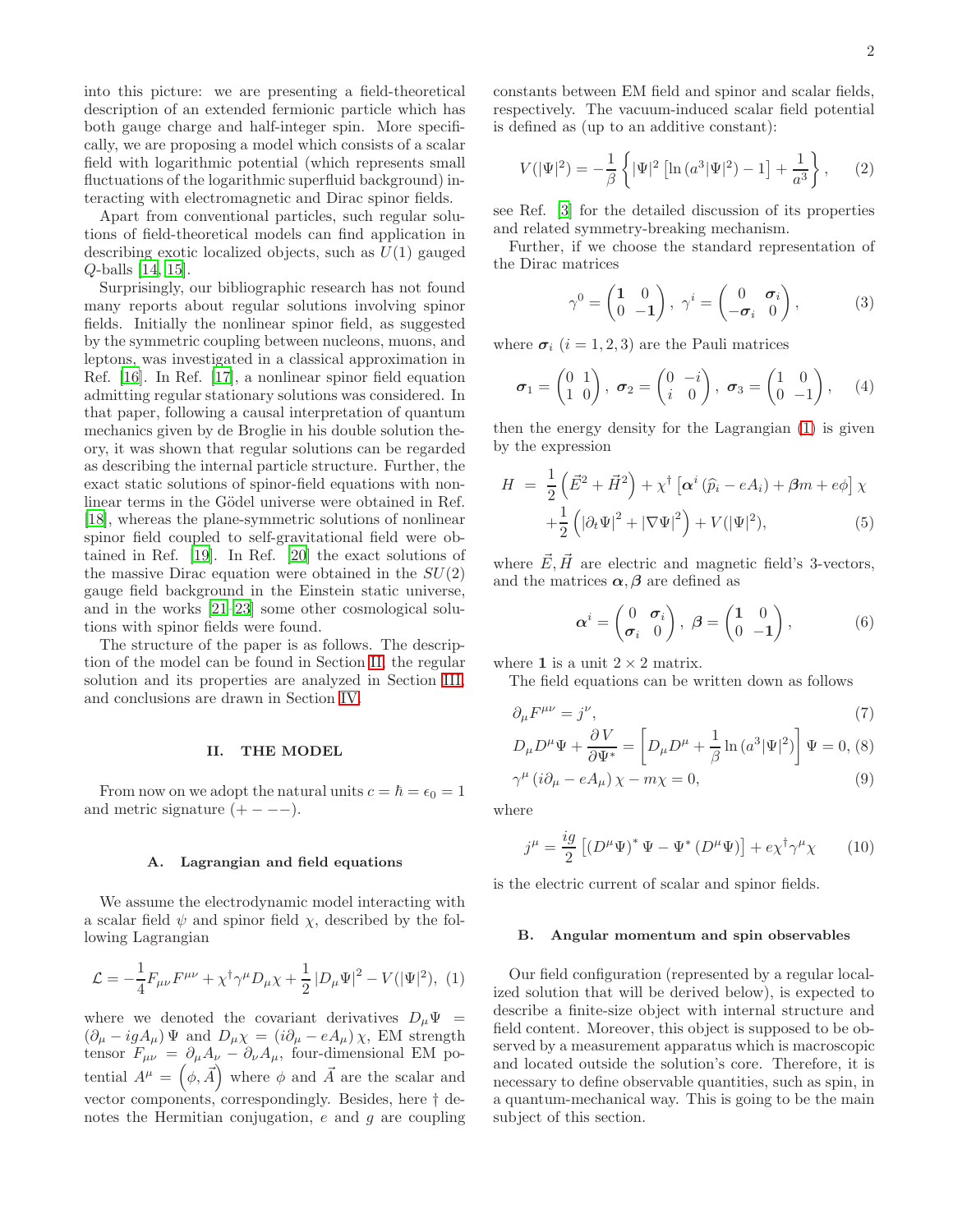into this picture: we are presenting a field-theoretical description of an extended fermionic particle which has both gauge charge and half-integer spin. More specifically, we are proposing a model which consists of a scalar field with logarithmic potential (which represents small fluctuations of the logarithmic superfluid background) interacting with electromagnetic and Dirac spinor fields.

Apart from conventional particles, such regular solutions of field-theoretical models can find application in describing exotic localized objects, such as  $U(1)$  gauged Q-balls [\[14](#page-8-13), [15](#page-8-14)].

Surprisingly, our bibliographic research has not found many reports about regular solutions involving spinor fields. Initially the nonlinear spinor field, as suggested by the symmetric coupling between nucleons, muons, and leptons, was investigated in a classical approximation in Ref. [\[16\]](#page-8-15). In Ref. [\[17](#page-8-16)], a nonlinear spinor field equation admitting regular stationary solutions was considered. In that paper, following a causal interpretation of quantum mechanics given by de Broglie in his double solution theory, it was shown that regular solutions can be regarded as describing the internal particle structure. Further, the exact static solutions of spinor-field equations with nonlinear terms in the Gödel universe were obtained in Ref. [\[18\]](#page-8-17), whereas the plane-symmetric solutions of nonlinear spinor field coupled to self-gravitational field were obtained in Ref. [\[19\]](#page-8-18). In Ref. [\[20\]](#page-8-19) the exact solutions of the massive Dirac equation were obtained in the  $SU(2)$ gauge field background in the Einstein static universe, and in the works [\[21](#page-8-20)[–23](#page-8-21)] some other cosmological solutions with spinor fields were found.

The structure of the paper is as follows. The description of the model can be found in Section [II,](#page-1-0) the regular solution and its properties are analyzed in Section [III,](#page-3-0) and conclusions are drawn in Section [IV.](#page-6-0)

### <span id="page-1-0"></span>II. THE MODEL

From now on we adopt the natural units  $c = \hbar = \epsilon_0 = 1$ and metric signature  $(+ - - -)$ .

# A. Lagrangian and field equations

We assume the electrodynamic model interacting with a scalar field  $\psi$  and spinor field  $\chi$ , described by the following Lagrangian

<span id="page-1-1"></span>
$$
\mathcal{L} = -\frac{1}{4} F_{\mu\nu} F^{\mu\nu} + \chi^{\dagger} \gamma^{\mu} D_{\mu} \chi + \frac{1}{2} |D_{\mu} \Psi|^{2} - V(|\Psi|^{2}), (1)
$$

where we denoted the covariant derivatives  $D_{\mu}\Psi =$  $(\partial_{\mu} - igA_{\mu}) \Psi$  and  $D_{\mu} \chi = (i\partial_{\mu} - eA_{\mu}) \chi$ , EM strength tensor  $F_{\mu\nu} = \partial_{\mu}A_{\nu} - \partial_{\nu}A_{\mu}$ , four-dimensional EM potential  $A^{\mu} = (\phi, \vec{A})$  where  $\phi$  and  $\vec{A}$  are the scalar and vector components, correspondingly. Besides, here † denotes the Hermitian conjugation,  $e$  and  $g$  are coupling constants between EM field and spinor and scalar fields, respectively. The vacuum-induced scalar field potential is defined as (up to an additive constant):

$$
V(|\Psi|^2) = -\frac{1}{\beta} \left\{ |\Psi|^2 \left[ \ln \left( a^3 |\Psi|^2 \right) - 1 \right] + \frac{1}{a^3} \right\},\qquad(2)
$$

see Ref. [\[3\]](#page-8-2) for the detailed discussion of its properties and related symmetry-breaking mechanism.

Further, if we choose the standard representation of the Dirac matrices

$$
\gamma^0 = \begin{pmatrix} 1 & 0 \\ 0 & -1 \end{pmatrix}, \ \gamma^i = \begin{pmatrix} 0 & \sigma_i \\ -\sigma_i & 0 \end{pmatrix}, \tag{3}
$$

where  $\sigma_i$   $(i = 1, 2, 3)$  are the Pauli matrices

$$
\boldsymbol{\sigma}_1 = \begin{pmatrix} 0 & 1 \\ 1 & 0 \end{pmatrix}, \ \boldsymbol{\sigma}_2 = \begin{pmatrix} 0 & -i \\ i & 0 \end{pmatrix}, \ \boldsymbol{\sigma}_3 = \begin{pmatrix} 1 & 0 \\ 0 & -1 \end{pmatrix}, \quad (4)
$$

then the energy density for the Lagrangian [\(1\)](#page-1-1) is given by the expression

<span id="page-1-2"></span>
$$
H = \frac{1}{2} \left( \vec{E}^2 + \vec{H}^2 \right) + \chi^{\dagger} \left[ \alpha^i \left( \hat{p}_i - eA_i \right) + \beta m + e\phi \right] \chi
$$
  
 
$$
+ \frac{1}{2} \left( |\partial_t \Psi|^2 + |\nabla \Psi|^2 \right) + V(|\Psi|^2), \tag{5}
$$

where  $\vec{E}, \vec{H}$  are electric and magnetic field's 3-vectors, and the matrices  $\alpha, \beta$  are defined as

$$
\boldsymbol{\alpha}^{i} = \begin{pmatrix} 0 & \sigma_{i} \\ \sigma_{i} & 0 \end{pmatrix}, \ \boldsymbol{\beta} = \begin{pmatrix} 1 & 0 \\ 0 & -1 \end{pmatrix}, \tag{6}
$$

where 1 is a unit  $2 \times 2$  matrix.

The field equations can be written down as follows

$$
\partial_{\mu}F^{\mu\nu} = j^{\nu},\tag{7}
$$

$$
D_{\mu}D^{\mu}\Psi + \frac{\partial V}{\partial \Psi^*} = \left[D_{\mu}D^{\mu} + \frac{1}{\beta}\ln\left(a^3|\Psi|^2\right)\right]\Psi = 0, \text{ (8)}
$$

$$
\gamma^{\mu} (i\partial_{\mu} - eA_{\mu}) \chi - m\chi = 0, \qquad (9)
$$

where

<span id="page-1-3"></span>
$$
j^{\mu} = \frac{ig}{2} \left[ \left( D^{\mu} \Psi \right)^{*} \Psi - \Psi^{*} \left( D^{\mu} \Psi \right) \right] + e \chi^{\dagger} \gamma^{\mu} \chi \qquad (10)
$$

is the electric current of scalar and spinor fields.

### B. Angular momentum and spin observables

Our field configuration (represented by a regular localized solution that will be derived below), is expected to describe a finite-size object with internal structure and field content. Moreover, this object is supposed to be observed by a measurement apparatus which is macroscopic and located outside the solution's core. Therefore, it is necessary to define observable quantities, such as spin, in a quantum-mechanical way. This is going to be the main subject of this section.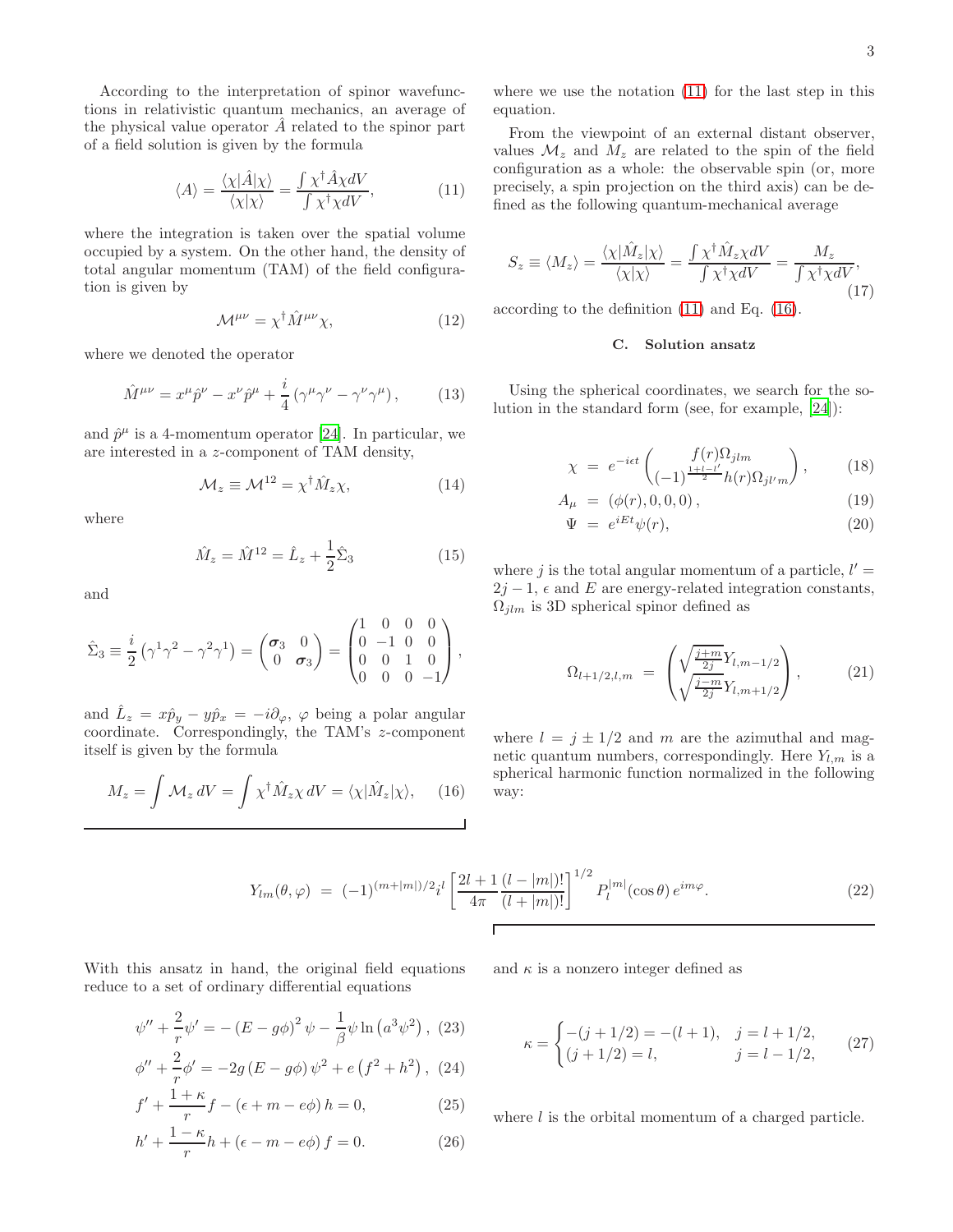According to the interpretation of spinor wavefunctions in relativistic quantum mechanics, an average of the physical value operator  $\hat{A}$  related to the spinor part of a field solution is given by the formula

<span id="page-2-0"></span>
$$
\langle A \rangle = \frac{\langle \chi | \hat{A} | \chi \rangle}{\langle \chi | \chi \rangle} = \frac{\int \chi^{\dagger} \hat{A} \chi dV}{\int \chi^{\dagger} \chi dV}, \tag{11}
$$

where the integration is taken over the spatial volume occupied by a system. On the other hand, the density of total angular momentum (TAM) of the field configuration is given by

$$
\mathcal{M}^{\mu\nu} = \chi^{\dagger} \hat{M}^{\mu\nu} \chi,\tag{12}
$$

where we denoted the operator

$$
\hat{M}^{\mu\nu} = x^{\mu}\hat{p}^{\nu} - x^{\nu}\hat{p}^{\mu} + \frac{i}{4} \left( \gamma^{\mu}\gamma^{\nu} - \gamma^{\nu}\gamma^{\mu} \right), \tag{13}
$$

and  $\hat{p}^{\mu}$  is a 4-momentum operator [\[24](#page-8-22)]. In particular, we are interested in a z-component of TAM density,

<span id="page-2-4"></span>
$$
\mathcal{M}_z \equiv \mathcal{M}^{12} = \chi^\dagger \hat{M}_z \chi,\tag{14}
$$

where

$$
\hat{M}_z = \hat{M}^{12} = \hat{L}_z + \frac{1}{2}\hat{\Sigma}_3
$$
\n(15)

and

$$
\hat{\Sigma}_3 \equiv \frac{i}{2} \left( \gamma^1 \gamma^2 - \gamma^2 \gamma^1 \right) = \begin{pmatrix} \sigma_3 & 0 \\ 0 & \sigma_3 \end{pmatrix} = \begin{pmatrix} 1 & 0 & 0 & 0 \\ 0 & -1 & 0 & 0 \\ 0 & 0 & 1 & 0 \\ 0 & 0 & 0 & -1 \end{pmatrix},
$$

and  $\hat{L}_z = x \hat{p}_y - y \hat{p}_x = -i \partial_\varphi, \varphi$  being a polar angular coordinate. Correspondingly, the TAM's z-component itself is given by the formula

<span id="page-2-1"></span>
$$
M_z = \int \mathcal{M}_z \, dV = \int \chi^\dagger \hat{M}_z \chi \, dV = \langle \chi | \hat{M}_z | \chi \rangle, \tag{16}
$$

where we use the notation [\(11\)](#page-2-0) for the last step in this equation.

From the viewpoint of an external distant observer, values  $\mathcal{M}_z$  and  $\mathcal{M}_z$  are related to the spin of the field configuration as a whole: the observable spin (or, more precisely, a spin projection on the third axis) can be defined as the following quantum-mechanical average

<span id="page-2-5"></span>
$$
S_z \equiv \langle M_z \rangle = \frac{\langle \chi | \hat{M}_z | \chi \rangle}{\langle \chi | \chi \rangle} = \frac{\int \chi^{\dagger} \hat{M}_z \chi dV}{\int \chi^{\dagger} \chi dV} = \frac{M_z}{\int \chi^{\dagger} \chi dV},\tag{17}
$$

according to the definition [\(11\)](#page-2-0) and Eq. [\(16\)](#page-2-1).

# C. Solution ansatz

Using the spherical coordinates, we search for the solution in the standard form (see, for example, [\[24](#page-8-22)]):

<span id="page-2-3"></span>
$$
\chi = e^{-i\epsilon t} \begin{pmatrix} f(r)\Omega_{jlm} \\ (-1)^{\frac{1+l-l'}{2}} h(r)\Omega_{jl'm} \end{pmatrix}, \qquad (18)
$$

$$
A_{\mu} = (\phi(r), 0, 0, 0), \tag{19}
$$

$$
\Psi = e^{iEt}\psi(r),\tag{20}
$$

where j is the total angular momentum of a particle,  $l' =$  $2j-1$ ,  $\epsilon$  and E are energy-related integration constants,  $\Omega_{jlm}$  is 3D spherical spinor defined as

$$
\Omega_{l+1/2,l,m} = \left( \sqrt{\frac{j+m}{2j}} Y_{l,m-1/2} \right), \qquad (21)
$$

where  $l = j \pm 1/2$  and m are the azimuthal and magnetic quantum numbers, correspondingly. Here  $Y_{l,m}$  is a spherical harmonic function normalized in the following way:

$$
Y_{lm}(\theta,\varphi) = (-1)^{(m+|m|)/2} i^l \left[ \frac{2l+1}{4\pi} \frac{(l-|m|)!}{(l+|m|)!} \right]^{1/2} P_l^{|m|}(\cos\theta) e^{im\varphi}.
$$
 (22)

Г

With this ansatz in hand, the original field equations reduce to a set of ordinary differential equations

<span id="page-2-2"></span>
$$
\psi'' + \frac{2}{r}\psi' = -(E - g\phi)^2 \psi - \frac{1}{\beta}\psi \ln (a^3 \psi^2), (23)
$$

$$
\phi'' + \frac{2}{r}\phi' = -2g(E - g\phi)\,\psi^2 + e\left(f^2 + h^2\right),\tag{24}
$$

$$
f' + \frac{1+\kappa}{r}f - (\epsilon + m - e\phi) h = 0,
$$
 (25)

$$
h' + \frac{1 - \kappa}{r}h + (\epsilon - m - e\phi) f = 0.
$$
 (26)

and  $\kappa$  is a nonzero integer defined as

$$
\kappa = \begin{cases}\n-(j+1/2) = -(l+1), & j = l+1/2, \\
(j+1/2) = l, & j = l-1/2,\n\end{cases}
$$
\n(27)

where *l* is the orbital momentum of a charged particle.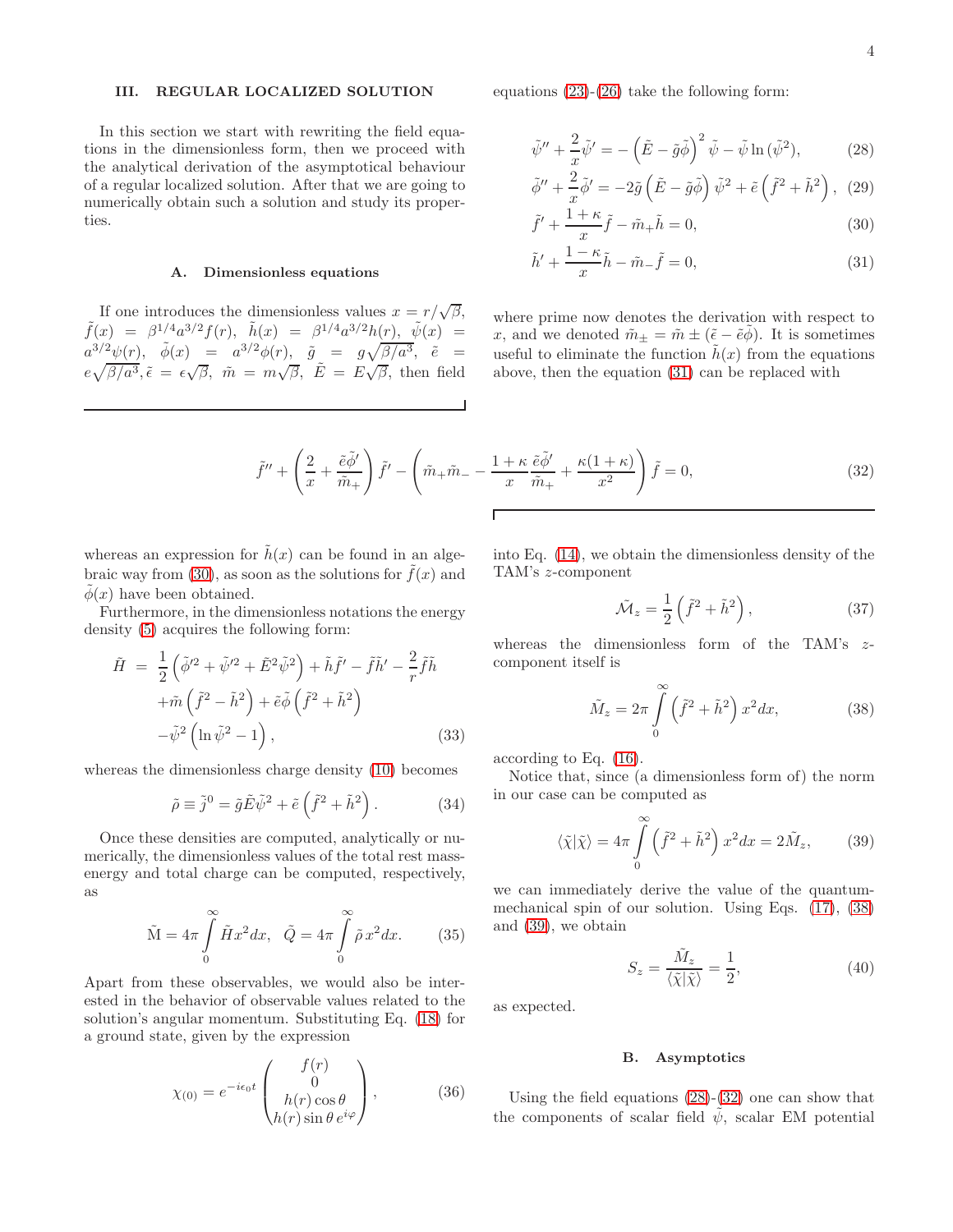### <span id="page-3-0"></span>III. REGULAR LOCALIZED SOLUTION

In this section we start with rewriting the field equations in the dimensionless form, then we proceed with the analytical derivation of the asymptotical behaviour of a regular localized solution. After that we are going to numerically obtain such a solution and study its properties.

# A. Dimensionless equations

If one introduces the dimensionless values  $x = r/\sqrt{\beta}$ ,  $\tilde{f}(x) = \beta^{1/4} a^{3/2} f(r), \quad \tilde{h}(x) = \beta^{1/4} a^{3/2} h(r), \quad \tilde{\psi}(x) =$  $a^{3/2}\psi(r), \quad \tilde{\phi}(x) = a^{3/2}\phi(r), \quad \tilde{g} = g\sqrt{\beta/a^3}, \quad \tilde{e} =$  $e\sqrt{\beta/a^3}$ ,  $\tilde{\epsilon} = \epsilon \sqrt{\beta}$ ,  $\tilde{m} = m\sqrt{\beta}$ ,  $\tilde{E} = E\sqrt{\beta}$ , then field equations [\(23\)](#page-2-2)-[\(26\)](#page-2-2) take the following form:

<span id="page-3-1"></span>
$$
\tilde{\psi}'' + \frac{2}{x}\tilde{\psi}' = -\left(\tilde{E} - \tilde{g}\tilde{\phi}\right)^2 \tilde{\psi} - \tilde{\psi}\ln(\tilde{\psi}^2),\tag{28}
$$

$$
\tilde{\phi}'' + \frac{2}{x}\tilde{\phi}' = -2\tilde{g}\left(\tilde{E} - \tilde{g}\tilde{\phi}\right)\tilde{\psi}^2 + \tilde{e}\left(\tilde{f}^2 + \tilde{h}^2\right), \tag{29}
$$

$$
\tilde{f}' + \frac{1+\kappa}{x}\tilde{f} - \tilde{m}_+\tilde{h} = 0,\tag{30}
$$

$$
\tilde{h}' + \frac{1 - \kappa}{x}\tilde{h} - \tilde{m}\tilde{h} = 0,\tag{31}
$$

where prime now denotes the derivation with respect to x, and we denoted  $\tilde{m}_{\pm} = \tilde{m} \pm (\tilde{\epsilon} - \tilde{e}\phi)$ . It is sometimes useful to eliminate the function  $\tilde{h}(x)$  from the equations above, then the equation [\(31\)](#page-3-1) can be replaced with

<span id="page-3-4"></span>
$$
\tilde{f}'' + \left(\frac{2}{x} + \frac{\tilde{e}\tilde{\phi}'}{\tilde{m}_+}\right)\tilde{f}' - \left(\tilde{m}_+\tilde{m}_- - \frac{1+\kappa}{x}\frac{\tilde{e}\tilde{\phi}'}{\tilde{m}_+} + \frac{\kappa(1+\kappa)}{x^2}\right)\tilde{f} = 0,
$$
\n(32)

whereas an expression for  $\hat{h}(x)$  can be found in an alge-braic way from [\(30\)](#page-3-1), as soon as the solutions for  $\tilde{f}(x)$  and  $\phi(x)$  have been obtained.

Furthermore, in the dimensionless notations the energy density [\(5\)](#page-1-2) acquires the following form:

<span id="page-3-5"></span>
$$
\tilde{H} = \frac{1}{2} \left( \tilde{\phi}^2 + \tilde{\psi}^2 + \tilde{E}^2 \tilde{\psi}^2 \right) + \tilde{h} \tilde{f}' - \tilde{f} \tilde{h}' - \frac{2}{r} \tilde{f} \tilde{h} \n+ \tilde{m} \left( \tilde{f}^2 - \tilde{h}^2 \right) + \tilde{e} \tilde{\phi} \left( \tilde{f}^2 + \tilde{h}^2 \right) \n- \tilde{\psi}^2 \left( \ln \tilde{\psi}^2 - 1 \right),
$$
\n(33)

whereas the dimensionless charge density [\(10\)](#page-1-3) becomes

<span id="page-3-6"></span>
$$
\tilde{\rho} \equiv \tilde{j}^0 = \tilde{g}\tilde{E}\tilde{\psi}^2 + \tilde{e}\left(\tilde{f}^2 + \tilde{h}^2\right). \tag{34}
$$

Once these densities are computed, analytically or numerically, the dimensionless values of the total rest massenergy and total charge can be computed, respectively, as

$$
\tilde{\mathbf{M}} = 4\pi \int_{0}^{\infty} \tilde{H}x^{2} dx, \quad \tilde{Q} = 4\pi \int_{0}^{\infty} \tilde{\rho} x^{2} dx.
$$
 (35)

Apart from these observables, we would also be interested in the behavior of observable values related to the solution's angular momentum. Substituting Eq. [\(18\)](#page-2-3) for a ground state, given by the expression

$$
\chi_{(0)} = e^{-i\epsilon_0 t} \begin{pmatrix} f(r) \\ 0 \\ h(r)\cos\theta \\ h(r)\sin\theta \, e^{i\varphi} \end{pmatrix},\tag{36}
$$

into Eq. [\(14\)](#page-2-4), we obtain the dimensionless density of the TAM's z-component

<span id="page-3-7"></span>
$$
\tilde{\mathcal{M}}_z = \frac{1}{2} \left( \tilde{f}^2 + \tilde{h}^2 \right),\tag{37}
$$

whereas the dimensionless form of the TAM's  $z$ component itself is

<span id="page-3-2"></span>
$$
\tilde{M}_z = 2\pi \int\limits_0^\infty \left(\tilde{f}^2 + \tilde{h}^2\right) x^2 dx,\tag{38}
$$

according to Eq. [\(16\)](#page-2-1).

Notice that, since (a dimensionless form of) the norm in our case can be computed as

<span id="page-3-3"></span>
$$
\langle \tilde{\chi} | \tilde{\chi} \rangle = 4\pi \int_{0}^{\infty} \left( \tilde{f}^2 + \tilde{h}^2 \right) x^2 dx = 2\tilde{M}_z, \quad (39)
$$

we can immediately derive the value of the quantummechanical spin of our solution. Using Eqs. [\(17\)](#page-2-5), [\(38\)](#page-3-2) and [\(39\)](#page-3-3), we obtain

$$
S_z = \frac{\tilde{M}_z}{\langle \tilde{\chi} | \tilde{\chi} \rangle} = \frac{1}{2},\tag{40}
$$

as expected.

#### B. Asymptotics

Using the field equations [\(28\)](#page-3-1)-[\(32\)](#page-3-4) one can show that the components of scalar field  $\psi$ , scalar EM potential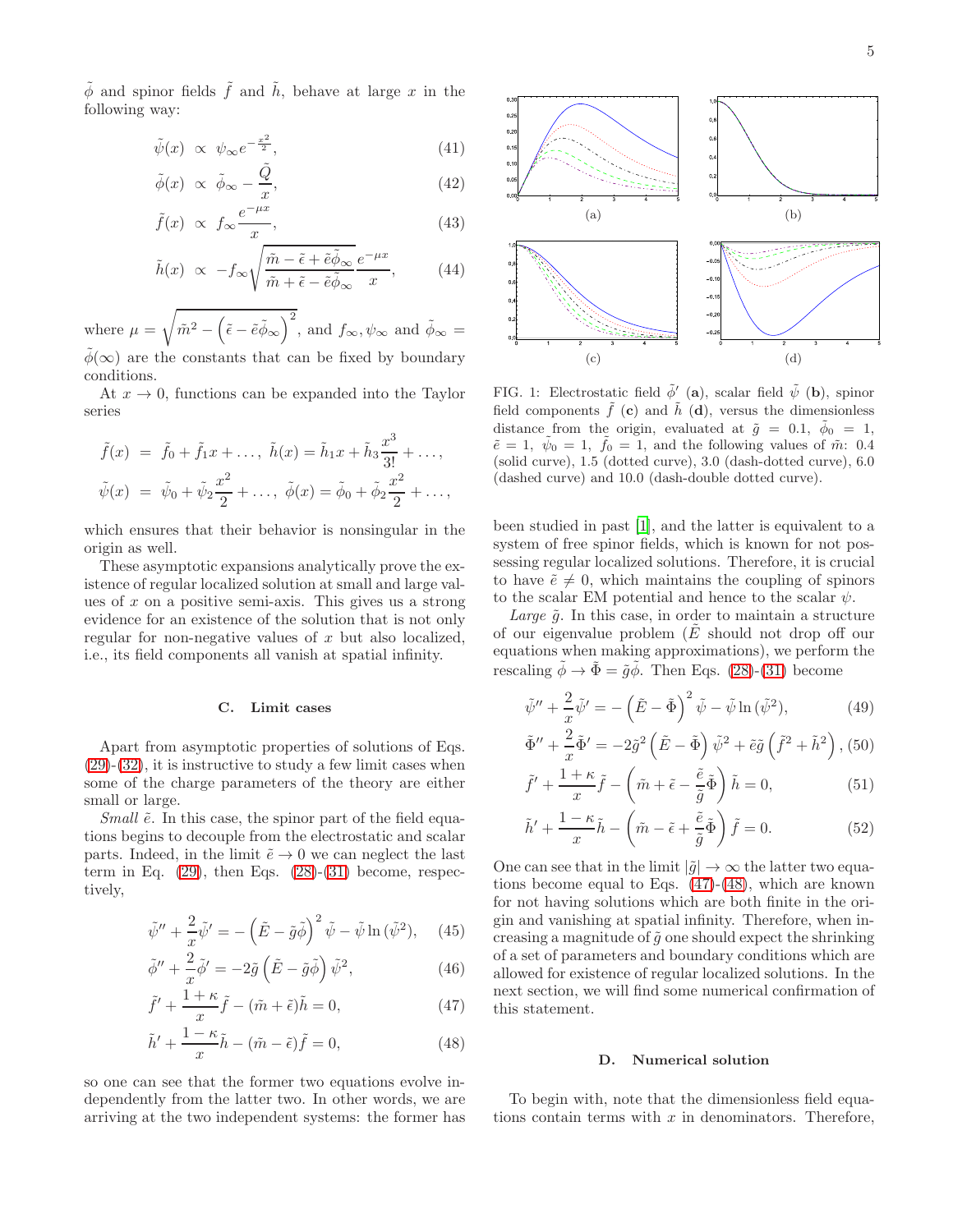<span id="page-4-1"></span>
$$
\tilde{\psi}(x) \propto \psi_{\infty} e^{-\frac{x^2}{2}},\tag{41}
$$

$$
\tilde{\phi}(x) \propto \tilde{\phi}_{\infty} - \frac{\tilde{Q}}{x},\tag{42}
$$

$$
\tilde{f}(x) \propto f_{\infty} \frac{e^{-\mu x}}{x}.
$$
\n(43)

$$
\tilde{h}(x) \propto -f_{\infty} \sqrt{\frac{\tilde{m} - \tilde{\epsilon} + \tilde{e}\tilde{\phi}_{\infty}}{\tilde{m} + \tilde{\epsilon} - \tilde{e}\tilde{\phi}_{\infty}}} \frac{e^{-\mu x}}{x},\qquad(44)
$$

where  $\mu =$ <sup>1</sup>  $m^2 - (\tilde{\epsilon} - \tilde{e}\tilde{\phi}_{\infty})^2$ , and  $f_{\infty}, \psi_{\infty}$  and  $\tilde{\phi}_{\infty} =$  $\phi(\infty)$  are the constants that can be fixed by boundary conditions.

At  $x \to 0$ , functions can be expanded into the Taylor series

$$
\tilde{f}(x) = \tilde{f}_0 + \tilde{f}_1 x + \dots, \ \tilde{h}(x) = \tilde{h}_1 x + \tilde{h}_3 \frac{x^3}{3!} + \dots, \n\tilde{\psi}(x) = \tilde{\psi}_0 + \tilde{\psi}_2 \frac{x^2}{2} + \dots, \ \tilde{\phi}(x) = \tilde{\phi}_0 + \tilde{\phi}_2 \frac{x^2}{2} + \dots,
$$

which ensures that their behavior is nonsingular in the origin as well.

These asymptotic expansions analytically prove the existence of regular localized solution at small and large values of  $x$  on a positive semi-axis. This gives us a strong evidence for an existence of the solution that is not only regular for non-negative values of  $x$  but also localized, i.e., its field components all vanish at spatial infinity.

### <span id="page-4-3"></span>C. Limit cases

Apart from asymptotic properties of solutions of Eqs.  $(29)-(32)$  $(29)-(32)$  $(29)-(32)$ , it is instructive to study a few limit cases when some of the charge parameters of the theory are either small or large.

Small  $\tilde{e}$ . In this case, the spinor part of the field equations begins to decouple from the electrostatic and scalar parts. Indeed, in the limit  $\tilde{e} \to 0$  we can neglect the last term in Eq.  $(29)$ , then Eqs.  $(28)-(31)$  $(28)-(31)$  become, respectively,

<span id="page-4-0"></span>
$$
\tilde{\psi}'' + \frac{2}{x}\tilde{\psi}' = -\left(\tilde{E} - \tilde{g}\tilde{\phi}\right)^2 \tilde{\psi} - \tilde{\psi}\ln(\tilde{\psi}^2), \quad (45)
$$

$$
\tilde{\phi}'' + \frac{2}{x}\tilde{\phi}' = -2\tilde{g}\left(\tilde{E} - \tilde{g}\tilde{\phi}\right)\tilde{\psi}^2, \tag{46}
$$

$$
\tilde{f}' + \frac{1+\kappa}{x}\tilde{f} - (\tilde{m} + \tilde{\epsilon})\tilde{h} = 0,
$$
\n(47)

$$
\tilde{h}' + \frac{1 - \kappa}{x}\tilde{h} - (\tilde{m} - \tilde{\epsilon})\tilde{f} = 0,
$$
\n(48)

so one can see that the former two equations evolve independently from the latter two. In other words, we are arriving at the two independent systems: the former has



<span id="page-4-2"></span>FIG. 1: Electrostatic field  $\tilde{\phi}'$  (a), scalar field  $\tilde{\psi}$  (b), spinor field components  $\tilde{f}$  (c) and  $\tilde{h}$  (d), versus the dimensionless distance from the origin, evaluated at  $\tilde{g} = 0.1, \ \tilde{\phi}_0 = 1$ ,  $\tilde{e} = 1, \ \tilde{\psi}_0 = 1, \ \tilde{f}_0 = 1,$  and the following values of  $\tilde{m}$ : 0.4 (solid curve), 1.5 (dotted curve), 3.0 (dash-dotted curve), 6.0 (dashed curve) and 10.0 (dash-double dotted curve).

been studied in past [\[1\]](#page-8-0), and the latter is equivalent to a system of free spinor fields, which is known for not possessing regular localized solutions. Therefore, it is crucial to have  $\tilde{e} \neq 0$ , which maintains the coupling of spinors to the scalar EM potential and hence to the scalar  $\psi$ .

Large  $\tilde{q}$ . In this case, in order to maintain a structure of our eigenvalue problem  $(E$  should not drop off our equations when making approximations), we perform the rescaling  $\tilde{\phi} \rightarrow \tilde{\Phi} = \tilde{g} \tilde{\phi}$ . Then Eqs. [\(28\)](#page-3-1)-[\(31\)](#page-3-1) become

$$
\tilde{\psi}'' + \frac{2}{x}\tilde{\psi}' = -(\tilde{E} - \tilde{\Phi})^2 \tilde{\psi} - \tilde{\psi}\ln(\tilde{\psi}^2),\tag{49}
$$

$$
\tilde{\Phi}'' + \frac{2}{x}\tilde{\Phi}' = -2\tilde{g}^2 \left(\tilde{E} - \tilde{\Phi}\right) \tilde{\psi}^2 + \tilde{e}\tilde{g} \left(\tilde{f}^2 + \tilde{h}^2\right), (50)
$$

$$
\tilde{f}' + \frac{1+\kappa}{x}\tilde{f} - \left(\tilde{m} + \tilde{\epsilon} - \frac{\tilde{e}}{\tilde{g}}\tilde{\Phi}\right)\tilde{h} = 0, \tag{51}
$$

$$
\tilde{h}' + \frac{1 - \kappa}{x}\tilde{h} - \left(\tilde{m} - \tilde{\epsilon} + \frac{\tilde{e}}{\tilde{g}}\tilde{\Phi}\right)\tilde{f} = 0.
$$
\n(52)

One can see that in the limit  $|\tilde{q}| \to \infty$  the latter two equations become equal to Eqs. [\(47\)](#page-4-0)-[\(48\)](#page-4-0), which are known for not having solutions which are both finite in the origin and vanishing at spatial infinity. Therefore, when increasing a magnitude of  $\tilde{g}$  one should expect the shrinking of a set of parameters and boundary conditions which are allowed for existence of regular localized solutions. In the next section, we will find some numerical confirmation of this statement.

## D. Numerical solution

To begin with, note that the dimensionless field equations contain terms with  $x$  in denominators. Therefore,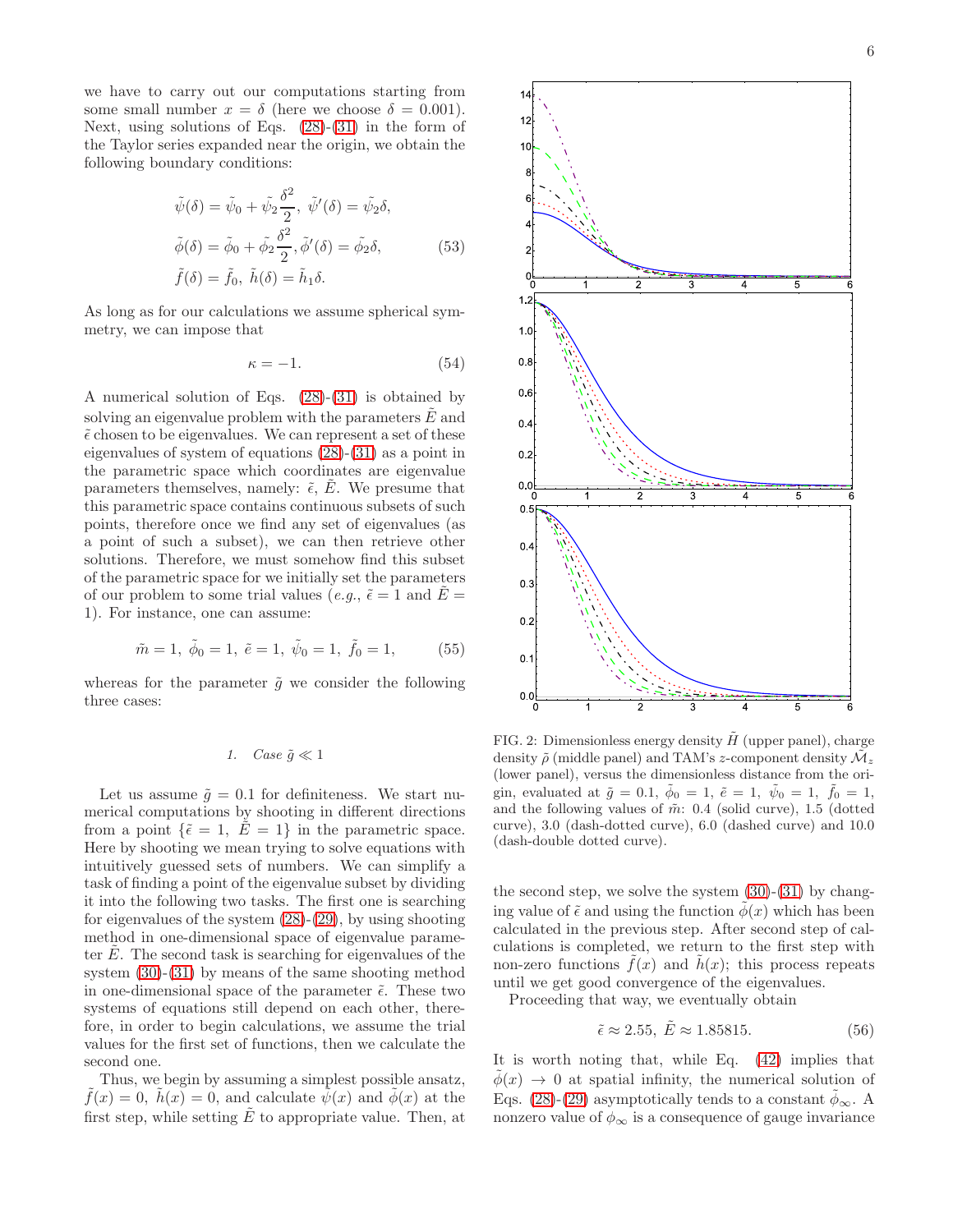we have to carry out our computations starting from some small number  $x = \delta$  (here we choose  $\delta = 0.001$ ). Next, using solutions of Eqs.  $(28)-(31)$  $(28)-(31)$  in the form of the Taylor series expanded near the origin, we obtain the following boundary conditions:

$$
\tilde{\psi}(\delta) = \tilde{\psi}_0 + \tilde{\psi}_2 \frac{\delta^2}{2}, \ \tilde{\psi}'(\delta) = \tilde{\psi}_2 \delta,
$$
  

$$
\tilde{\phi}(\delta) = \tilde{\phi}_0 + \tilde{\phi}_2 \frac{\delta^2}{2}, \tilde{\phi}'(\delta) = \tilde{\phi}_2 \delta,
$$
  

$$
\tilde{f}(\delta) = \tilde{f}_0, \ \tilde{h}(\delta) = \tilde{h}_1 \delta.
$$
\n(53)

As long as for our calculations we assume spherical symmetry, we can impose that

$$
\kappa = -1.\tag{54}
$$

A numerical solution of Eqs. [\(28\)](#page-3-1)-[\(31\)](#page-3-1) is obtained by solving an eigenvalue problem with the parameters  $E$  and  $\tilde{\epsilon}$  chosen to be eigenvalues. We can represent a set of these eigenvalues of system of equations [\(28\)](#page-3-1)-[\(31\)](#page-3-1) as a point in the parametric space which coordinates are eigenvalue parameters themselves, namely:  $\tilde{\epsilon}$ ,  $E$ . We presume that this parametric space contains continuous subsets of such points, therefore once we find any set of eigenvalues (as a point of such a subset), we can then retrieve other solutions. Therefore, we must somehow find this subset of the parametric space for we initially set the parameters of our problem to some trial values (e.g.,  $\tilde{\epsilon} = 1$  and  $E =$ 1). For instance, one can assume:

$$
\tilde{m} = 1, \ \tilde{\phi}_0 = 1, \ \tilde{e} = 1, \ \tilde{\psi}_0 = 1, \ \tilde{f}_0 = 1, \tag{55}
$$

whereas for the parameter  $\tilde{g}$  we consider the following three cases:

# 1. Case  $\tilde{g} \ll 1$

Let us assume  $\tilde{q} = 0.1$  for definiteness. We start numerical computations by shooting in different directions from a point  $\{\tilde{\epsilon} = 1, \ \tilde{E} = 1\}$  in the parametric space. Here by shooting we mean trying to solve equations with intuitively guessed sets of numbers. We can simplify a task of finding a point of the eigenvalue subset by dividing it into the following two tasks. The first one is searching for eigenvalues of the system  $(28)-(29)$  $(28)-(29)$ , by using shooting method in one-dimensional space of eigenvalue parameter  $E$ . The second task is searching for eigenvalues of the system [\(30\)](#page-3-1)-[\(31\)](#page-3-1) by means of the same shooting method in one-dimensional space of the parameter  $\tilde{\epsilon}$ . These two systems of equations still depend on each other, therefore, in order to begin calculations, we assume the trial values for the first set of functions, then we calculate the second one.

Thus, we begin by assuming a simplest possible ansatz,  $\tilde{f}(x) = 0$ ,  $\tilde{h}(x) = 0$ , and calculate  $\tilde{\psi}(x)$  and  $\tilde{\phi}(x)$  at the first step, while setting  $E$  to appropriate value. Then, at



<span id="page-5-0"></span>FIG. 2: Dimensionless energy density  $\tilde{H}$  (upper panel), charge density  $\tilde{\rho}$  (middle panel) and TAM's z-component density  $\mathcal{M}_z$ (lower panel), versus the dimensionless distance from the origin, evaluated at  $\tilde{g} = 0.1, \ \dot{\phi}_0 = 1, \ \tilde{e} = 1, \ \dot{\psi}_0 = 1, \ \tilde{f}_0 = 1,$ and the following values of  $\tilde{m}$ : 0.4 (solid curve), 1.5 (dotted curve), 3.0 (dash-dotted curve), 6.0 (dashed curve) and 10.0 (dash-double dotted curve).

the second step, we solve the system  $(30)-(31)$  $(30)-(31)$  by changing value of  $\tilde{\epsilon}$  and using the function  $\phi(x)$  which has been calculated in the previous step. After second step of calculations is completed, we return to the first step with non-zero functions  $f(x)$  and  $h(x)$ ; this process repeats until we get good convergence of the eigenvalues.

Proceeding that way, we eventually obtain

$$
\tilde{\epsilon} \approx 2.55, \ \tilde{E} \approx 1.85815. \tag{56}
$$

It is worth noting that, while Eq. [\(42\)](#page-4-1) implies that  $\phi(x) \rightarrow 0$  at spatial infinity, the numerical solution of Eqs. [\(28\)](#page-3-1)-[\(29\)](#page-3-1) asymptotically tends to a constant  $\phi_{\infty}$ . A nonzero value of  $\phi_{\infty}$  is a consequence of gauge invariance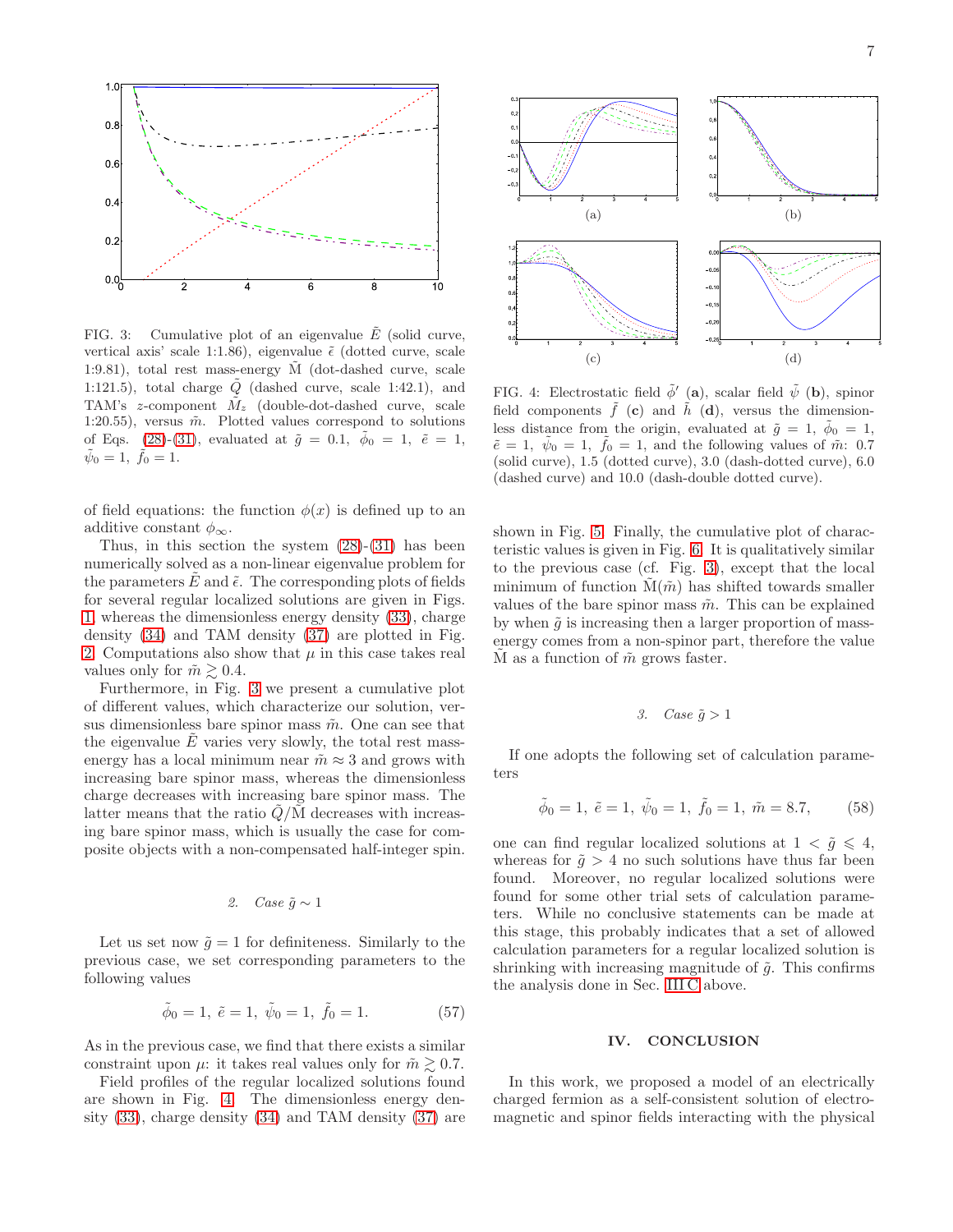

<span id="page-6-1"></span>FIG. 3: Cumulative plot of an eigenvalue  $\tilde{E}$  (solid curve, vertical axis' scale 1:1.86), eigenvalue  $\tilde{\epsilon}$  (dotted curve, scale 1:9.81), total rest mass-energy  $\tilde{M}$  (dot-dashed curve, scale 1:121.5), total charge  $\tilde{Q}$  (dashed curve, scale 1:42.1), and TAM's z-component  $\tilde{M}_z$  (double-dot-dashed curve, scale 1:20.55), versus  $\tilde{m}$ . Plotted values correspond to solutions of Eqs. [\(28\)](#page-3-1)-[\(31\)](#page-3-1), evaluated at  $\tilde{g} = 0.1, \ \tilde{\phi}_0 = 1, \ \tilde{e} = 1,$  $\tilde{\psi}_0 = 1, \; \tilde{f}_0 = 1.$ 

of field equations: the function  $\phi(x)$  is defined up to an additive constant  $\phi_{\infty}$ .

Thus, in this section the system  $(28)-(31)$  $(28)-(31)$  has been numerically solved as a non-linear eigenvalue problem for the parameters  $E$  and  $\tilde{\epsilon}$ . The corresponding plots of fields for several regular localized solutions are given in Figs. [1,](#page-4-2) whereas the dimensionless energy density [\(33\)](#page-3-5), charge density [\(34\)](#page-3-6) and TAM density [\(37\)](#page-3-7) are plotted in Fig. [2.](#page-5-0) Computations also show that  $\mu$  in this case takes real values only for  $\tilde{m} \geq 0.4$ .

Furthermore, in Fig. [3](#page-6-1) we present a cumulative plot of different values, which characterize our solution, versus dimensionless bare spinor mass  $\tilde{m}$ . One can see that the eigenvalue  $E$  varies very slowly, the total rest massenergy has a local minimum near  $\tilde{m} \approx 3$  and grows with increasing bare spinor mass, whereas the dimensionless charge decreases with increasing bare spinor mass. The latter means that the ratio  $\tilde{Q}/\tilde{M}$  decreases with increasing bare spinor mass, which is usually the case for composite objects with a non-compensated half-integer spin.

# 2. Case  $\tilde{g} \sim 1$

Let us set now  $\tilde{g} = 1$  for definiteness. Similarly to the previous case, we set corresponding parameters to the following values

$$
\tilde{\phi}_0 = 1, \ \tilde{e} = 1, \ \tilde{\psi}_0 = 1, \ \tilde{f}_0 = 1.
$$
\n(57)

As in the previous case, we find that there exists a similar constraint upon  $\mu$ : it takes real values only for  $\tilde{m} \gtrsim 0.7$ .

Field profiles of the regular localized solutions found are shown in Fig. [4.](#page-6-2) The dimensionless energy density [\(33\)](#page-3-5), charge density [\(34\)](#page-3-6) and TAM density [\(37\)](#page-3-7) are



<span id="page-6-2"></span>FIG. 4: Electrostatic field  $\tilde{\phi}'$  (a), scalar field  $\tilde{\psi}$  (b), spinor field components  $\tilde{f}$  (c) and  $\tilde{h}$  (d), versus the dimensionless distance from the origin, evaluated at  $\tilde{g} = 1$ ,  $\tilde{\phi}_0 = 1$ ,  $\tilde{e} = 1, \ \tilde{\psi}_0 = 1, \ \tilde{f}_0 = 1, \text{ and the following values of } \tilde{m}: 0.7$ (solid curve), 1.5 (dotted curve), 3.0 (dash-dotted curve), 6.0 (dashed curve) and 10.0 (dash-double dotted curve).

shown in Fig. [5.](#page-7-0) Finally, the cumulative plot of characteristic values is given in Fig. [6.](#page-7-1) It is qualitatively similar to the previous case (cf. Fig. [3\)](#page-6-1), except that the local minimum of function  $M(\tilde{m})$  has shifted towards smaller values of the bare spinor mass  $\tilde{m}$ . This can be explained by when  $\tilde{g}$  is increasing then a larger proportion of massenergy comes from a non-spinor part, therefore the value  $\tilde{M}$  as a function of  $\tilde{m}$  grows faster.

### <span id="page-6-3"></span>3. Case  $\tilde{g} > 1$

If one adopts the following set of calculation parameters

$$
\tilde{\phi}_0 = 1, \ \tilde{e} = 1, \ \tilde{\psi}_0 = 1, \ \tilde{f}_0 = 1, \ \tilde{m} = 8.7,
$$
\n(58)

one can find regular localized solutions at  $1 < \tilde{g} \leq 4$ , whereas for  $\tilde{g} > 4$  no such solutions have thus far been found. Moreover, no regular localized solutions were found for some other trial sets of calculation parameters. While no conclusive statements can be made at this stage, this probably indicates that a set of allowed calculation parameters for a regular localized solution is shrinking with increasing magnitude of  $\tilde{g}$ . This confirms the analysis done in Sec. [III C](#page-4-3) above.

### <span id="page-6-0"></span>IV. CONCLUSION

In this work, we proposed a model of an electrically charged fermion as a self-consistent solution of electromagnetic and spinor fields interacting with the physical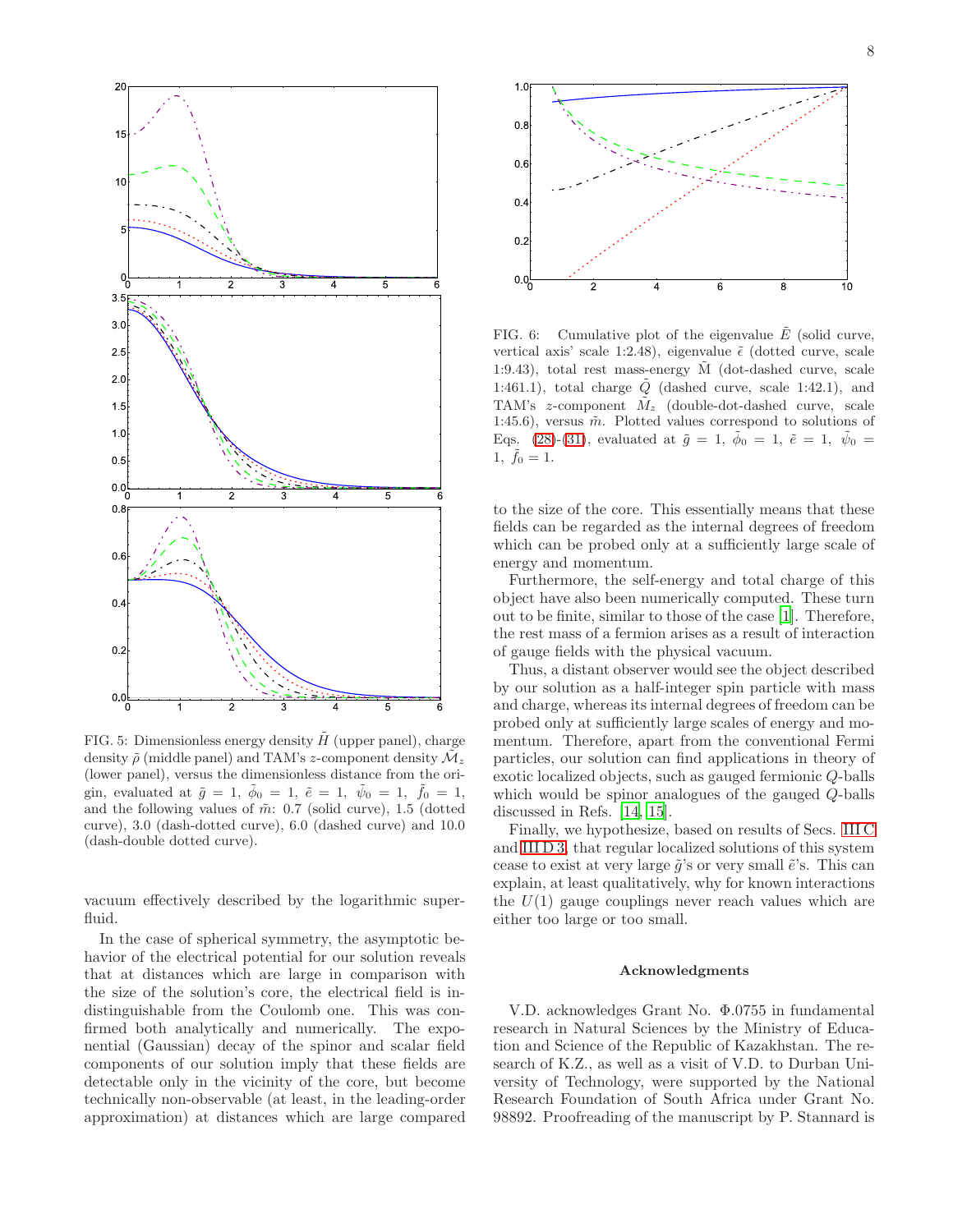

8



<span id="page-7-0"></span>FIG. 5: Dimensionless energy density  $H$  (upper panel), charge density  $\tilde{\rho}$  (middle panel) and TAM's z-component density  $\mathcal{M}_z$ (lower panel), versus the dimensionless distance from the origin, evaluated at  $\tilde{g} = 1, \phi_0 = 1, \tilde{e} = 1, \psi_0 = 1, f_0 = 1,$ and the following values of  $\tilde{m}$ : 0.7 (solid curve), 1.5 (dotted curve), 3.0 (dash-dotted curve), 6.0 (dashed curve) and 10.0 (dash-double dotted curve).

vacuum effectively described by the logarithmic superfluid.

In the case of spherical symmetry, the asymptotic behavior of the electrical potential for our solution reveals that at distances which are large in comparison with the size of the solution's core, the electrical field is indistinguishable from the Coulomb one. This was confirmed both analytically and numerically. The exponential (Gaussian) decay of the spinor and scalar field components of our solution imply that these fields are detectable only in the vicinity of the core, but become technically non-observable (at least, in the leading-order approximation) at distances which are large compared



<span id="page-7-1"></span>FIG. 6: Cumulative plot of the eigenvalue  $\tilde{E}$  (solid curve, vertical axis' scale 1:2.48), eigenvalue  $\tilde{\epsilon}$  (dotted curve, scale 1:9.43), total rest mass-energy  $\tilde{M}$  (dot-dashed curve, scale 1:461.1), total charge  $\tilde{Q}$  (dashed curve, scale 1:42.1), and TAM's z-component  $\tilde{M}_z$  (double-dot-dashed curve, scale 1:45.6), versus  $\tilde{m}$ . Plotted values correspond to solutions of Eqs. [\(28\)](#page-3-1)-[\(31\)](#page-3-1), evaluated at  $\tilde{g} = 1, \ \tilde{\phi}_0 = 1, \ \tilde{e} = 1, \ \tilde{\psi}_0 =$  $1, \tilde{f}_0 = 1.$ 

to the size of the core. This essentially means that these fields can be regarded as the internal degrees of freedom which can be probed only at a sufficiently large scale of energy and momentum.

Furthermore, the self-energy and total charge of this object have also been numerically computed. These turn out to be finite, similar to those of the case [\[1\]](#page-8-0). Therefore, the rest mass of a fermion arises as a result of interaction of gauge fields with the physical vacuum.

Thus, a distant observer would see the object described by our solution as a half-integer spin particle with mass and charge, whereas its internal degrees of freedom can be probed only at sufficiently large scales of energy and momentum. Therefore, apart from the conventional Fermi particles, our solution can find applications in theory of exotic localized objects, such as gauged fermionic Q-balls which would be spinor analogues of the gauged Q-balls discussed in Refs. [\[14,](#page-8-13) [15\]](#page-8-14).

Finally, we hypothesize, based on results of Secs. [III C](#page-4-3) and [III D 3,](#page-6-3) that regular localized solutions of this system cease to exist at very large  $\tilde{g}$ 's or very small  $\tilde{e}$ 's. This can explain, at least qualitatively, why for known interactions the  $U(1)$  gauge couplings never reach values which are either too large or too small.

#### Acknowledgments

V.D. acknowledges Grant No. Φ.0755 in fundamental research in Natural Sciences by the Ministry of Education and Science of the Republic of Kazakhstan. The research of K.Z., as well as a visit of V.D. to Durban University of Technology, were supported by the National Research Foundation of South Africa under Grant No. 98892. Proofreading of the manuscript by P. Stannard is